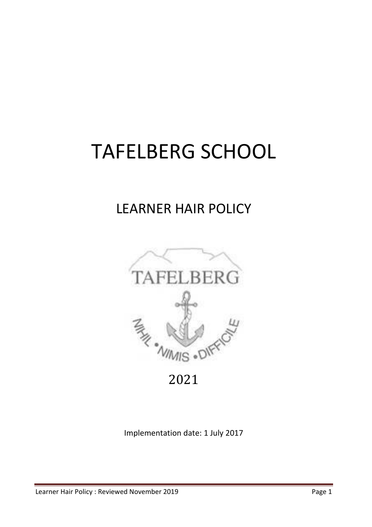# TAFELBERG SCHOOL

## LEARNER HAIR POLICY



2021 

Implementation date: 1 July 2017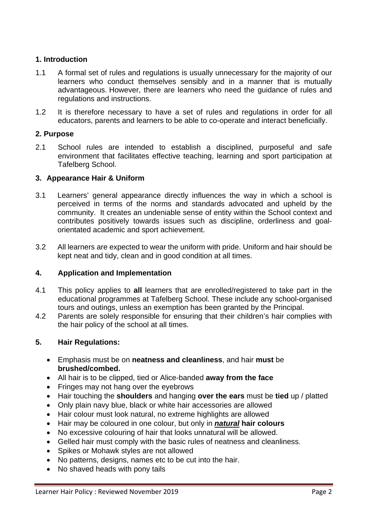#### **1. Introduction**

- 1.1 A formal set of rules and regulations is usually unnecessary for the majority of our learners who conduct themselves sensibly and in a manner that is mutually advantageous. However, there are learners who need the guidance of rules and regulations and instructions.
- 1.2 It is therefore necessary to have a set of rules and regulations in order for all educators, parents and learners to be able to co-operate and interact beneficially.

#### **2. Purpose**

2.1 School rules are intended to establish a disciplined, purposeful and safe environment that facilitates effective teaching, learning and sport participation at Tafelberg School.

#### **3. Appearance Hair & Uniform**

- 3.1 Learners' general appearance directly influences the way in which a school is perceived in terms of the norms and standards advocated and upheld by the community. It creates an undeniable sense of entity within the School context and contributes positively towards issues such as discipline, orderliness and goalorientated academic and sport achievement.
- 3.2 All learners are expected to wear the uniform with pride. Uniform and hair should be kept neat and tidy, clean and in good condition at all times.

#### **4. Application and Implementation**

- 4.1 This policy applies to **all** learners that are enrolled/registered to take part in the educational programmes at Tafelberg School. These include any school-organised tours and outings, unless an exemption has been granted by the Principal.
- 4.2 Parents are solely responsible for ensuring that their children's hair complies with the hair policy of the school at all times.

### **5. Hair Regulations:**

- Emphasis must be on **neatness and cleanliness**, and hair **must** be **brushed/combed.**
- All hair is to be clipped, tied or Alice-banded **away from the face**
- Fringes may not hang over the eyebrows
- Hair touching the **shoulders** and hanging **over the ears** must be **tied** up / platted
- Only plain navy blue, black or white hair accessories are allowed
- Hair colour must look natural, no extreme highlights are allowed
- Hair may be coloured in one colour, but only in *natural* **hair colours**
- No excessive colouring of hair that looks unnatural will be allowed.
- Gelled hair must comply with the basic rules of neatness and cleanliness.
- Spikes or Mohawk styles are not allowed
- No patterns, designs, names etc to be cut into the hair.
- No shaved heads with pony tails